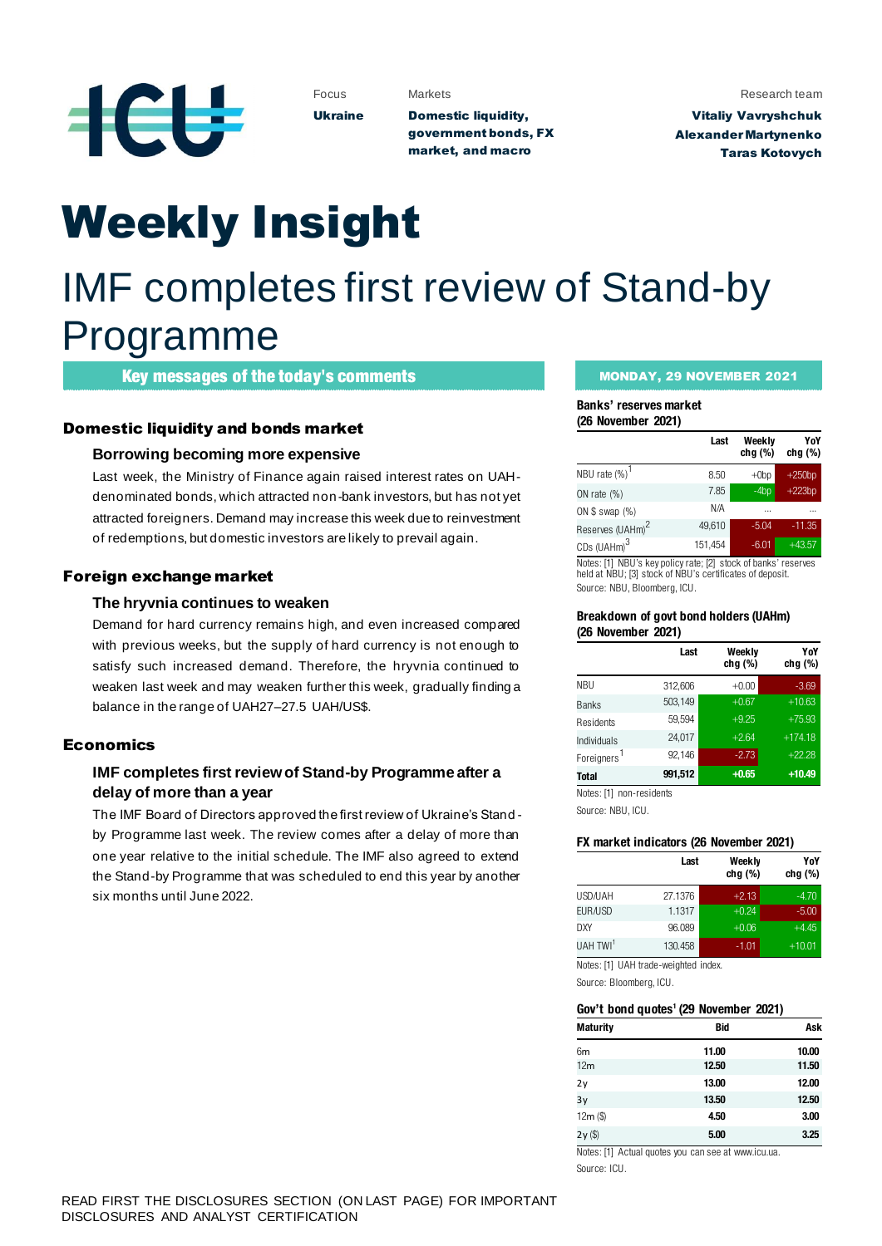

Ukraine Domestic liquidity, government bonds, FX market, and macro

Focus Markets **Markets** Research team **Research team** Research team **Research** team

Vitaliy Vavryshchuk Alexander Martynenko Taras Kotovych

# Weekly Insight

# IMF completes first review of Stand-by Programme

Key messages of the today's comments

#### [Domestic liquidity and bonds market](#page-1-0)

#### **[Borrowing becoming more expensive](#page-1-1)**

[Last week, the Ministry of Finance again raised interest rates on UAH](#page-1-2)[denominated bonds, which attracted non-bank investors, but has not yet](#page-1-2)  [attracted foreigners. Demand may increase this week due to reinvestment](#page-1-2)  [of redemptions, but domestic investors are likely to prevail again.](#page-1-2)

#### [Foreign exchange market](#page-2-0)

#### **[The hryvnia continues to weaken](#page-2-1)**

[Demand for hard currency remains high, and even increased compared](#page-2-2)  [with previous weeks, but the supply of hard currency is not enough to](#page-2-2)  [satisfy such increased demand. Therefore, the hryvnia continued to](#page-2-2)  [weaken last week and may weaken further this week, gradually finding a](#page-2-2)  [balance in the range of UAH27–27.5 UAH/US\\$.](#page-2-2)

#### [Economics](#page-3-0)

#### **[IMF completes first review of Stand-by Programme after a](#page-3-1)  [delay of more than a year](#page-3-1)**

[The IMF Board of Directors approved the first review of Ukraine's Stand](#page-3-2) [by Programme last week. The review comes after a delay of more than](#page-3-2)  [one year relative to the initial schedule. The IMF also agreed to extend](#page-3-2)  [the Stand-by Programme that was scheduled to end this year by another](#page-3-2)  [six months until June 2022.](#page-3-2)

#### MONDAY, 29 NOVEMBER 2021

#### Banks' reserves market (26 November 2021)

|                                                                                                                            | Last    | Weekly<br>chg (%) | YoY<br>chg (%) |
|----------------------------------------------------------------------------------------------------------------------------|---------|-------------------|----------------|
| NBU rate $(\%)$ <sup>1</sup>                                                                                               | 8.50    | $+0bp$            | $+250bp$       |
| ON rate $(\%)$                                                                                                             | 7.85    | $-4bp$            | $+223bp$       |
| ON $$ swap$ (%)                                                                                                            | N/A     | $\cdots$          |                |
| Reserves (UAHm) <sup>2</sup>                                                                                               | 49.610  | $-5.04$           | $-11.35$       |
| $CDs$ (UAHm) $3$                                                                                                           | 151.454 | $-6.01$           | $+43.57$       |
| Notes: [1] NBU's key policy rate; [2] stock of banks' reserves<br>held at NBU; [3] stock of NBU's certificates of deposit. |         |                   |                |

Source: NBU, Bloomberg, ICU.

#### Breakdown of govt bond holders (UAHm) (26 November 2021)

|                         | Last    | Weeklv<br>chg (%) | YoY<br>chg (%) |
|-------------------------|---------|-------------------|----------------|
| <b>NBU</b>              | 312,606 | $+0.00$           | $-3.69$        |
| <b>Banks</b>            | 503,149 | $+0.67$           | $+10.63$       |
| Residents               | 59.594  | $+9.25$           | $+75.93$       |
| Individuals             | 24,017  | $+2.64$           | $+174.18$      |
| Foreigners <sup>1</sup> | 92,146  | $-2.73$           | $+22.28$       |
| Total                   | 991,512 | $+0.65$           | $+10.49$       |

Notes: [1] non-residents

Source: NBU, ICU.

#### FX market indicators (26 November 2021)

|                      | Last    | Weekly<br>chg (%) | YoY<br>chg (%) |
|----------------------|---------|-------------------|----------------|
| <b>USD/UAH</b>       | 27.1376 | $+2.13$           | $-4.70$        |
| <b>EUR/USD</b>       | 1.1317  | $+0.24$           | $-5.00$        |
| <b>DXY</b>           | 96.089  | $+0.06$           | $+4.45$        |
| UAH TWI <sup>1</sup> | 130.458 | $-1.01$           | $+10.01$       |

Notes: [1] UAH trade-weighted index.

Source: Bloomberg, ICU.

#### Gov't bond quotes<sup>1</sup> (29 November 2021)

| <b>Maturity</b> | Bid   | Ask   |
|-----------------|-------|-------|
| 6 <sub>m</sub>  | 11.00 | 10.00 |
| 12m             | 12.50 | 11.50 |
| 2y              | 13.00 | 12.00 |
| 3y              | 13.50 | 12.50 |
| 12m(S)          | 4.50  | 3.00  |
| 2y(\$)          | 5.00  | 3.25  |

DISCLOSURES AND ANALYST CERTIFICATION

Notes: [1] Actual quotes you can see at www.icu.ua. Source: ICU.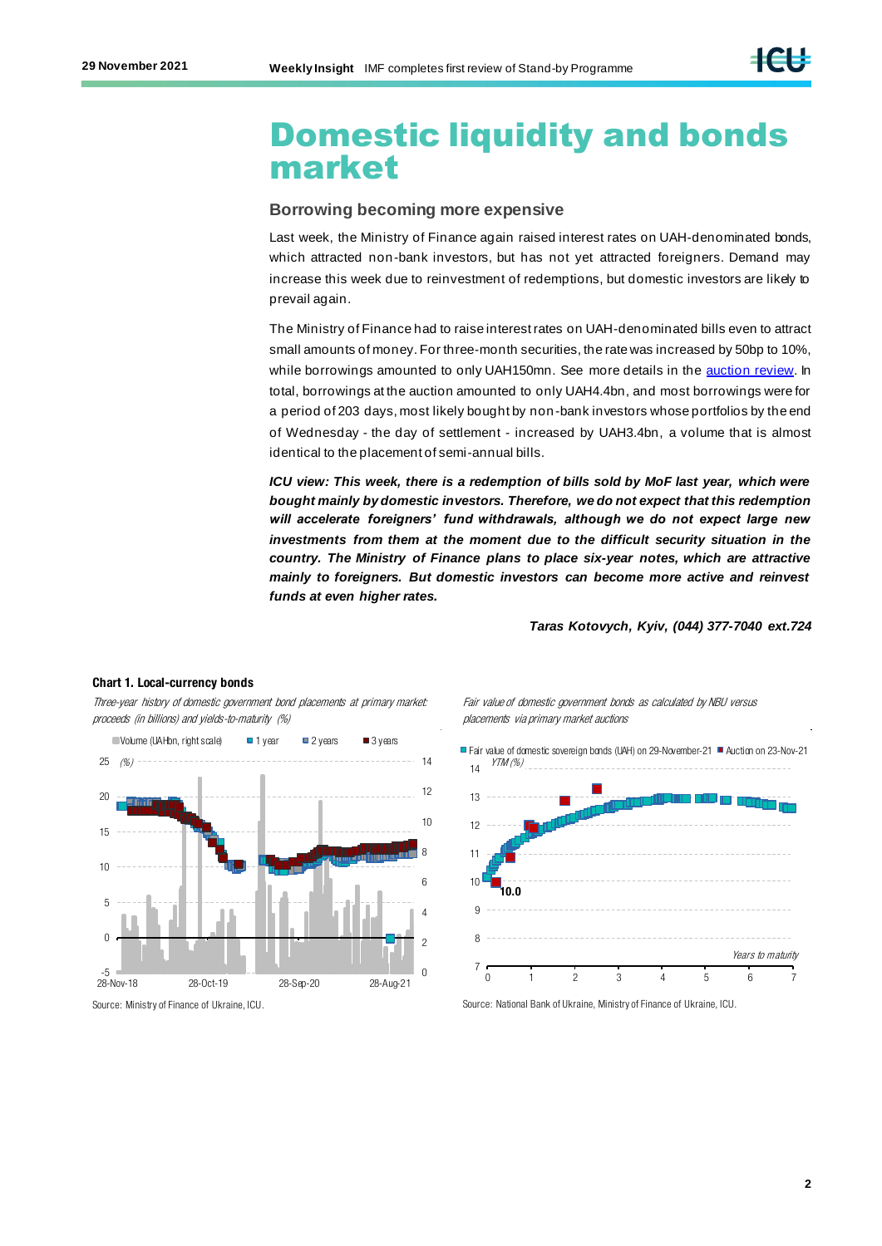## <span id="page-1-0"></span>Domestic liquidity and bonds market

#### <span id="page-1-1"></span>**Borrowing becoming more expensive**

<span id="page-1-2"></span>Last week, the Ministry of Finance again raised interest rates on UAH-denominated bonds, which attracted non-bank investors, but has not yet attracted foreigners. Demand may increase this week due to reinvestment of redemptions, but domestic investors are likely to prevail again.

The Ministry of Finance had to raise interest rates on UAH-denominated bills even to attract small amounts of money. For three-month securities, the rate was increased by 50bp to 10%, while borrowings amounted to only UAH150mn. See more details in the [auction review.](https://icu.ua/download/report/2524/ICUDebtInsight-20211124-Eng.pdf) In total, borrowings at the auction amounted to only UAH4.4bn, and most borrowings were for a period of 203 days, most likely bought by non -bank investors whose portfolios by the end of Wednesday - the day of settlement - increased by UAH3.4bn, a volume that is almost identical to the placement of semi-annual bills.

*ICU view: This week, there is a redemption of bills sold by MoF last year, which were bought mainly by domestic investors. Therefore, we do not expect that this redemption will accelerate foreigners' fund withdrawals, although we do not expect large new investments from them at the moment due to the difficult security situation in the country. The Ministry of Finance plans to place six-year notes, which are attractive mainly to foreigners. But domestic investors can become more active and reinvest funds at even higher rates.*

proceeds (in billions) and yields-to-maturity (%)  $\Omega$  $\overline{2}$ 4 6 8 10 12 14 28-Nov-18 0 5 10 15 20 25 28-Nov-18 28-Oct-19 28-Sep-20 28-Aug-21  $(0)$ ■Volume (IIAHbn, right scale) ■ 1 year ■ 2 years ■ 3 years

Three-year history of domestic government bond placements at primary market:

Chart 1. Local-currency bonds

*Taras Kotovych, Kyiv, (044) 377-7040 ext.724*

Fair value of domestic government bonds as calculated by NBU versus placements via primary market auctions



Source: Ministry of Finance of Ukraine, ICU. Source: National Bank of Ukraine, Ministry of Finance of Ukraine, ICU.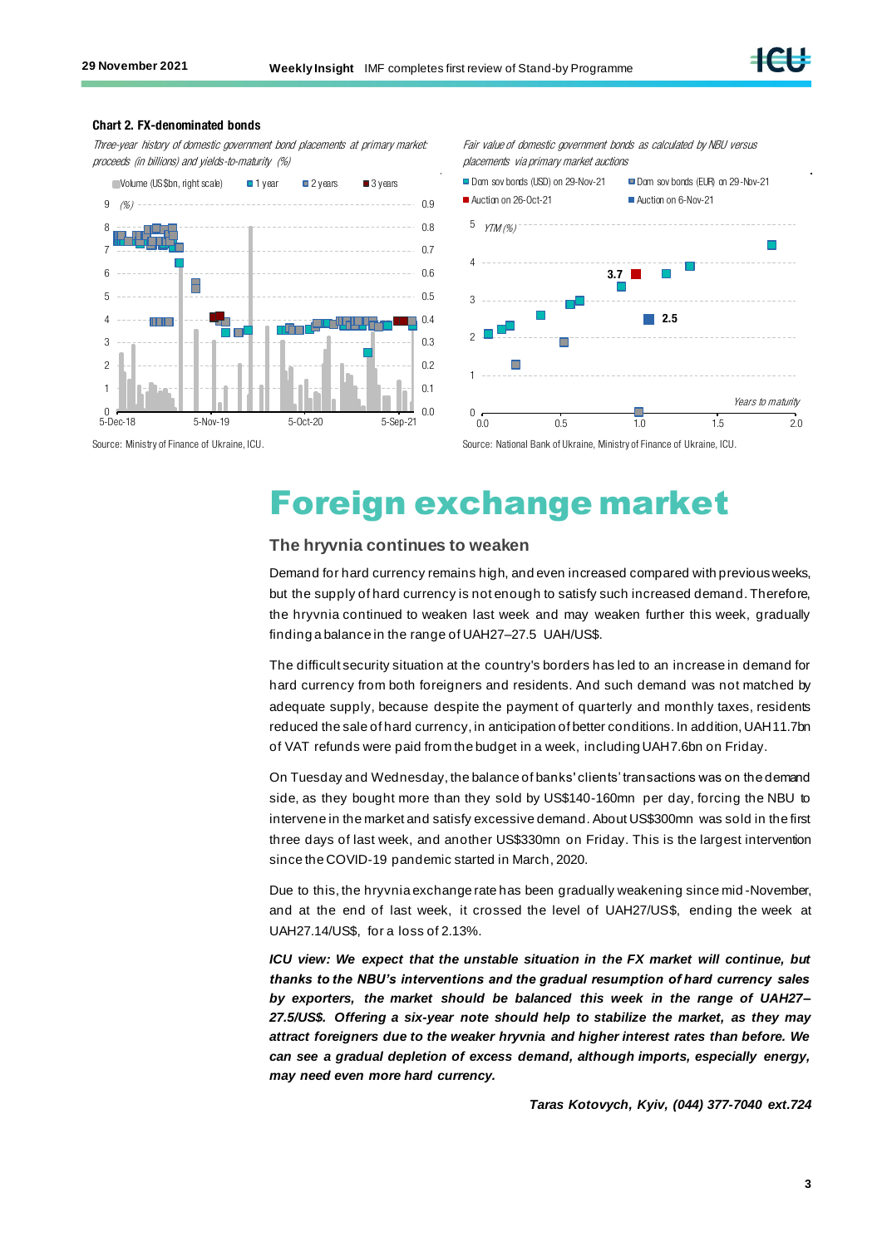#### Chart 2. FX-denominated bonds

Three-year history of domestic government bond placements at primary market: proceeds (in billions) and yields-to-maturity (%)







# <span id="page-2-0"></span>Foreign exchange market

#### <span id="page-2-1"></span>**The hryvnia continues to weaken**

<span id="page-2-2"></span>Demand for hard currency remains high, and even increased compared with previous weeks, but the supply of hard currency is not enough to satisfy such increased demand. Therefore, the hryvnia continued to weaken last week and may weaken further this week, gradually finding a balance in the range of UAH27–27.5 UAH/US\$.

The difficult security situation at the country's borders has led to an increase in demand for hard currency from both foreigners and residents. And such demand was not matched by adequate supply, because despite the payment of quarterly and monthly taxes, residents reduced the sale of hard currency, in anticipation of better conditions. In addition, UAH11.7bn of VAT refunds were paid from the budget in a week, including UAH7.6bn on Friday.

On Tuesday and Wednesday, the balance of banks' clients' transactions was on the demand side, as they bought more than they sold by US\$140-160mn per day, forcing the NBU to intervene in the market and satisfy excessive demand. About US\$300mn was sold in the first three days of last week, and another US\$330mn on Friday. This is the largest intervention since the COVID-19 pandemic started in March, 2020.

Due to this, the hryvnia exchange rate has been gradually weakening since mid -November, and at the end of last week, it crossed the level of UAH27/US\$, ending the week at UAH27.14/US\$, for a loss of 2.13%.

*ICU view: We expect that the unstable situation in the FX market will continue, but thanks to the NBU's interventions and the gradual resumption of hard currency sales by exporters, the market should be balanced this week in the range of UAH27– 27.5/US\$. Offering a six-year note should help to stabilize the market, as they may attract foreigners due to the weaker hryvnia and higher interest rates than before. We can see a gradual depletion of excess demand, although imports, especially energy, may need even more hard currency.*

*Taras Kotovych, Kyiv, (044) 377-7040 ext.724*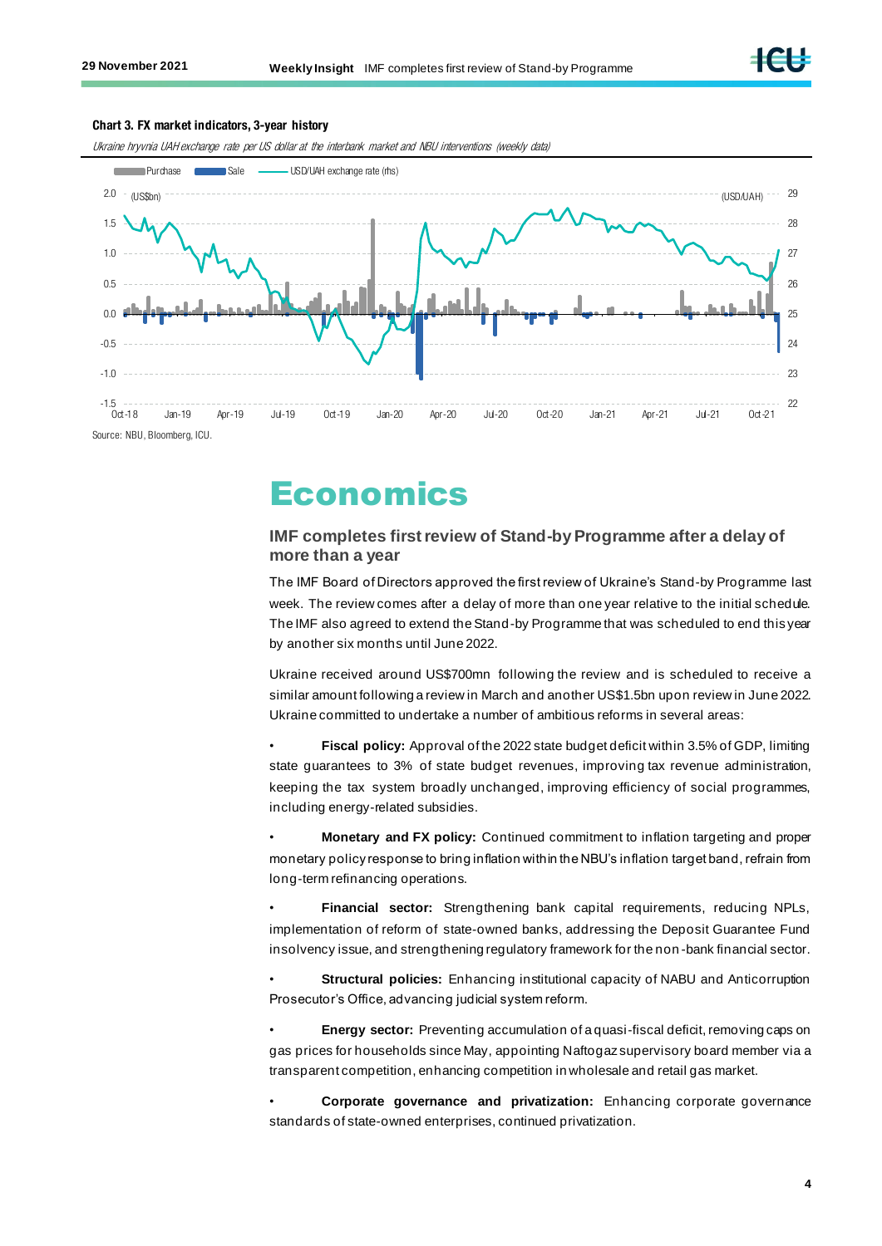#### Chart 3. FX market indicators, 3-year history

Ukraine hryvnia UAH exchange rate per US dollar at the interbank market and NBU interventions (weekly data)



### <span id="page-3-0"></span>**Economics**

#### <span id="page-3-1"></span>**IMF completes first review of Stand-by Programme after a delay of more than a year**

<span id="page-3-2"></span>The IMF Board of Directors approved the first review of Ukraine's Stand-by Programme last week. The review comes after a delay of more than one year relative to the initial schedule. The IMF also agreed to extend the Stand-by Programme that was scheduled to end this year by another six months until June 2022.

Ukraine received around US\$700mn following the review and is scheduled to receive a similar amount following a review in March and another US\$1.5bn upon review in June 2022. Ukraine committed to undertake a number of ambitious reforms in several areas:

• **Fiscal policy:** Approval of the 2022 state budget deficit within 3.5% of GDP, limiting state guarantees to 3% of state budget revenues, improving tax revenue administration, keeping the tax system broadly unchanged, improving efficiency of social programmes, including energy-related subsidies.

• **Monetary and FX policy:** Continued commitment to inflation targeting and proper monetary policy response to bring inflation within the NBU's inflation target band, refrain from long-term refinancing operations.

• **Financial sector:** Strengthening bank capital requirements, reducing NPLs, implementation of reform of state-owned banks, addressing the Deposit Guarantee Fund insolvency issue, and strengthening regulatory framework for the non -bank financial sector.

• **Structural policies:** Enhancing institutional capacity of NABU and Anticorruption Prosecutor's Office, advancing judicial system reform.

• **Energy sector:** Preventing accumulation of a quasi-fiscal deficit, removing caps on gas prices for households since May, appointing Naftogaz supervisory board member via a transparent competition, enhancing competition in wholesale and retail gas market.

• **Corporate governance and privatization:** Enhancing corporate governance standards of state-owned enterprises, continued privatization.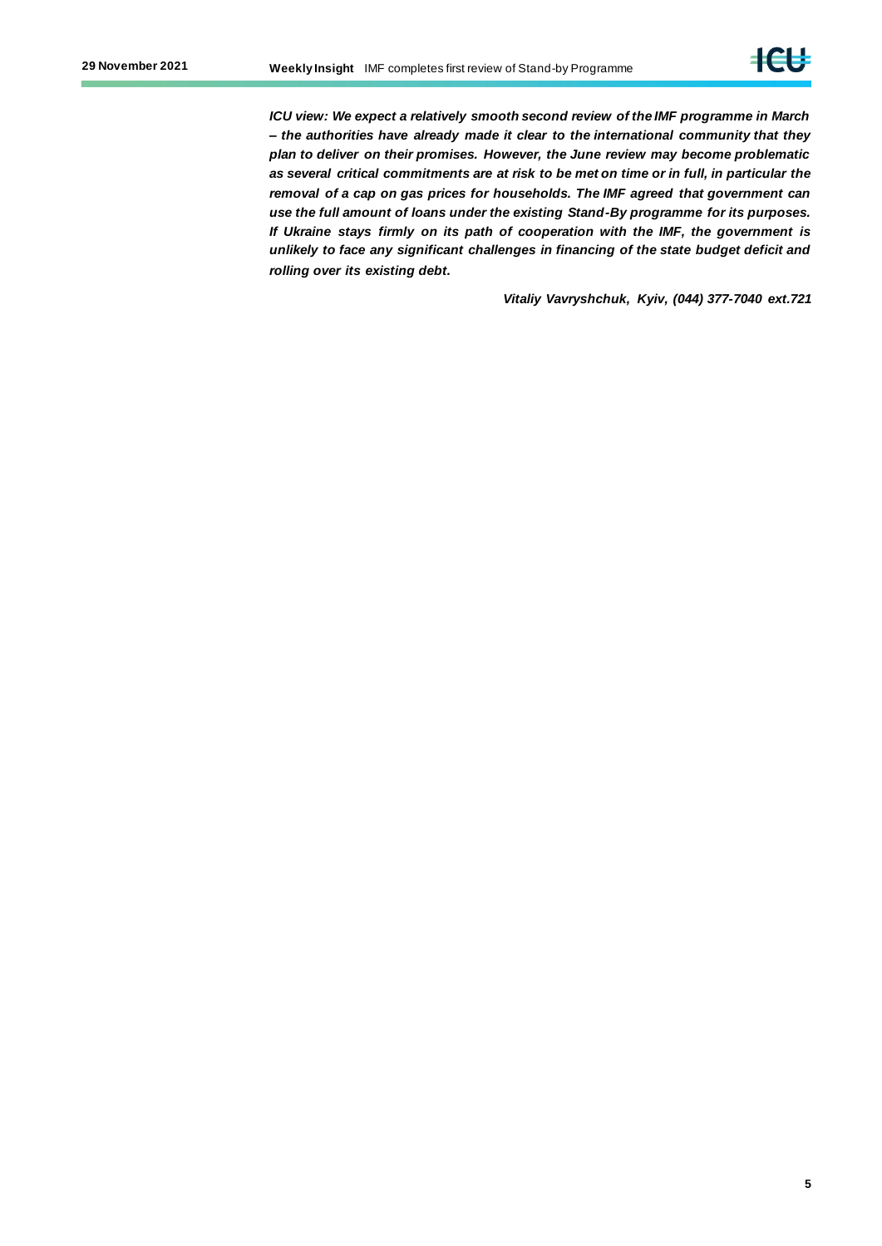*ICU view: We expect a relatively smooth second review of the IMF programme in March – the authorities have already made it clear to the international community that they plan to deliver on their promises. However, the June review may become problematic as several critical commitments are at risk to be met on time or in full, in particular the removal of a cap on gas prices for households. The IMF agreed that government can use the full amount of loans under the existing Stand-By programme for its purposes. If Ukraine stays firmly on its path of cooperation with the IMF, the government is unlikely to face any significant challenges in financing of the state budget deficit and rolling over its existing debt.*

*Vitaliy Vavryshchuk, Kyiv, (044) 377-7040 ext.721*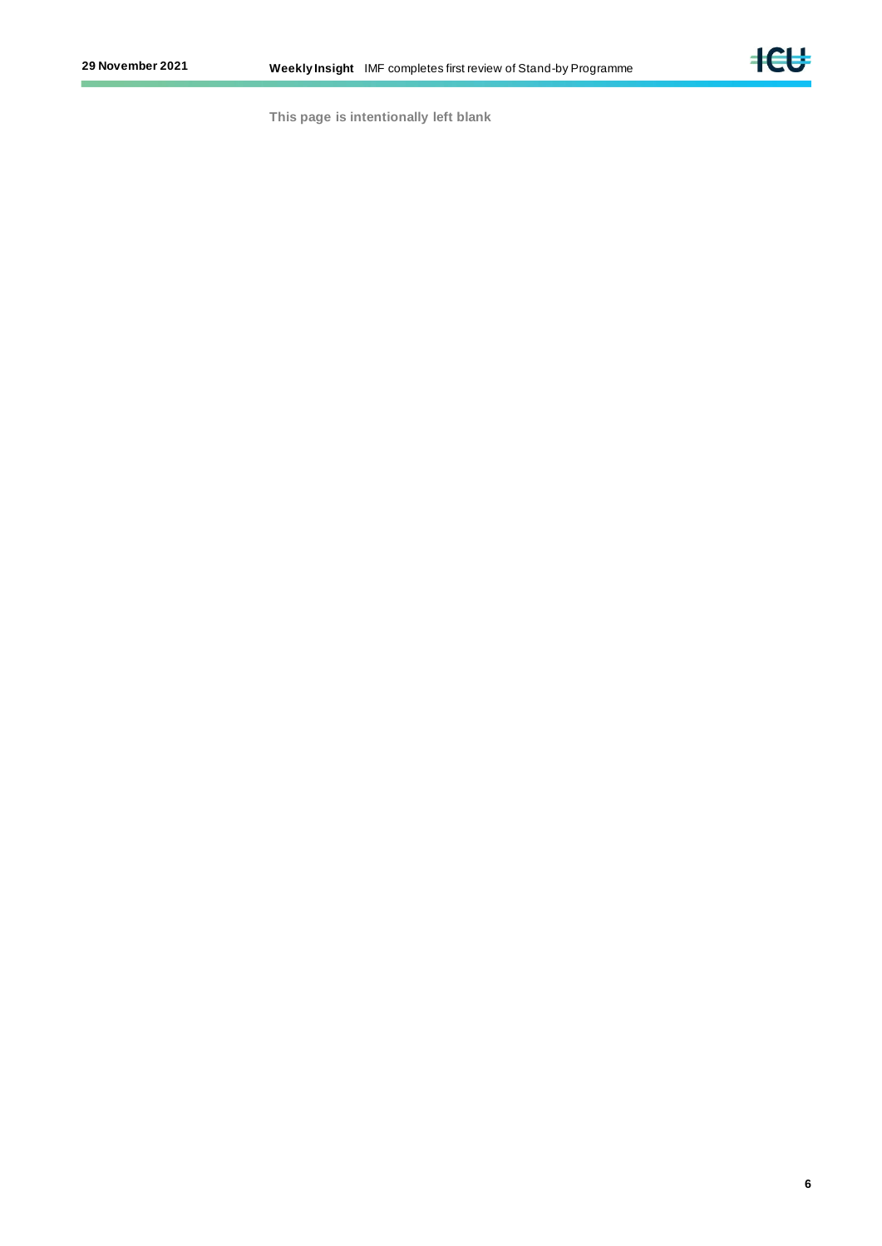**6**

**This page is intentionally left blank**